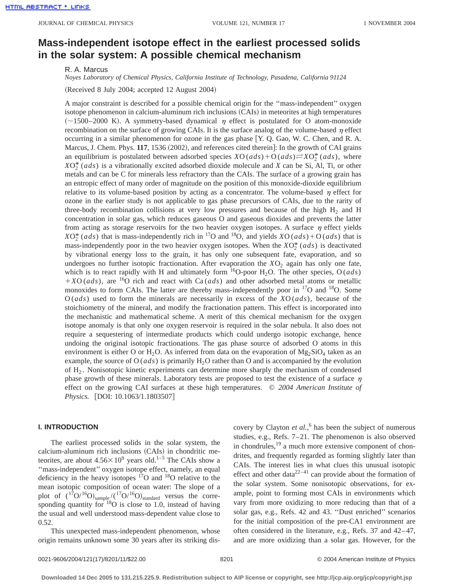# **Mass-independent isotope effect in the earliest processed solids in the solar system: A possible chemical mechanism**

R. A. Marcus

*Noyes Laboratory of Chemical Physics, California Institute of Technology, Pasadena, California 91124*

(Received 8 July 2004; accepted 12 August 2004)

A major constraint is described for a possible chemical origin for the ''mass-independent'' oxygen isotope phenomenon in calcium-aluminum rich inclusions (CAIs) in meteorites at high temperatures  $~(-1500–2000)$  K). A symmetry-based dynamical  $\eta$  effect is postulated for O atom-monoxide recombination on the surface of growing CAIs. It is the surface analog of the volume-based  $\eta$  effect occurring in a similar phenomenon for ozone in the gas phase  $[Y, Q, Gao, W, C, Chen, and R. A.$ Marcus, J. Chem. Phys. 117, 1536 (2002), and references cited therein]: In the growth of CAI grains an equilibrium is postulated between adsorbed species  $XO(ads) + O(ads) \rightleftharpoons XO_2^*(ads)$ , where  $XO_2^*(ads)$  is a vibrationally excited adsorbed dioxide molecule and *X* can be Si, Al, Ti, or other metals and can be C for minerals less refractory than the CAIs. The surface of a growing grain has an entropic effect of many order of magnitude on the position of this monoxide-dioxide equilibrium relative to its volume-based position by acting as a concentrator. The volume-based  $\eta$  effect for ozone in the earlier study is not applicable to gas phase precursors of CAIs, due to the rarity of three-body recombination collisions at very low pressures and because of the high  $H<sub>2</sub>$  and H concentration in solar gas, which reduces gaseous O and gaseous dioxides and prevents the latter from acting as storage reservoirs for the two heavier oxygen isotopes. A surface  $\eta$  effect yields  $XO_2^*(ads)$  that is mass-independently rich in <sup>17</sup>O and <sup>18</sup>O, and yields  $XO(ads) + O(ads)$  that is mass-independently poor in the two heavier oxygen isotopes. When the  $XO_2^*(ads)$  is deactivated by vibrational energy loss to the grain, it has only one subsequent fate, evaporation, and so undergoes no further isotopic fractionation. After evaporation the  $XO<sub>2</sub>$  again has only one fate, which is to react rapidly with H and ultimately form <sup>16</sup>O-poor H<sub>2</sub>O. The other species, O (*ads*)  $+XO (ads)$ , are <sup>16</sup>O rich and react with Ca(*ads*) and other adsorbed metal atoms or metallic monoxides to form CAIs. The latter are thereby mass-independently poor in  $^{17}O$  and  $^{18}O$ . Some O (*ads*) used to form the minerals are necessarily in excess of the *X*O (*ads*), because of the stoichiometry of the mineral, and modify the fractionation pattern. This effect is incorporated into the mechanistic and mathematical scheme. A merit of this chemical mechanism for the oxygen isotope anomaly is that only one oxygen reservoir is required in the solar nebula. It also does not require a sequestering of intermediate products which could undergo isotopic exchange, hence undoing the original isotopic fractionations. The gas phase source of adsorbed O atoms in this environment is either O or H<sub>2</sub>O. As inferred from data on the evaporation of  $Mg_2SiO_4$  taken as an example, the source of  $O (ads)$  is primarily  $H_2O$  rather than O and is accompanied by the evolution of H2 . Nonisotopic kinetic experiments can determine more sharply the mechanism of condensed phase growth of these minerals. Laboratory tests are proposed to test the existence of a surface  $\eta$ effect on the growing CAI surfaces at these high temperatures. © *2004 American Institute of Physics.* [DOI: 10.1063/1.1803507]

## **I. INTRODUCTION**

The earliest processed solids in the solar system, the calcium-aluminum rich inclusions (CAIs) in chondritic meteorites, are about  $4.56 \times 10^9$  years old.<sup>1–5</sup> The CAIs show a ''mass-independent'' oxygen isotope effect, namely, an equal deficiency in the heavy isotopes  $^{17}$ O and  $^{18}$ O relative to the mean isotopic composition of ocean water: The slope of a plot of  $({}^{17}O/{}^{16}O)_{sample}/({}^{17}O/{}^{16}O)_{standard}$  versus the corresponding quantity for  $^{18}$ O is close to 1.0, instead of having the usual and well understood mass-dependent value close to 0.52.

This unexpected mass-independent phenomenon, whose origin remains unknown some 30 years after its striking dis-

covery by Clayton *et al.*, <sup>6</sup> has been the subject of numerous studies, e.g., Refs. 7–21. The phenomenon is also observed in chondrules, $19$  a much more extensive component of chondrites, and frequently regarded as forming slightly later than CAIs. The interest lies in what clues this unusual isotopic effect and other data<sup>22-41</sup> can provide about the formation of the solar system. Some nonisotopic observations, for example, point to forming most CAIs in environments which vary from more oxidizing to more reducing than that of a solar gas, e.g., Refs. 42 and 43. ''Dust enriched'' scenarios for the initial composition of the pre-CA1 environment are often considered in the literature, e.g., Refs. 37 and 42–47, and are more oxidizing than a solar gas. However, for the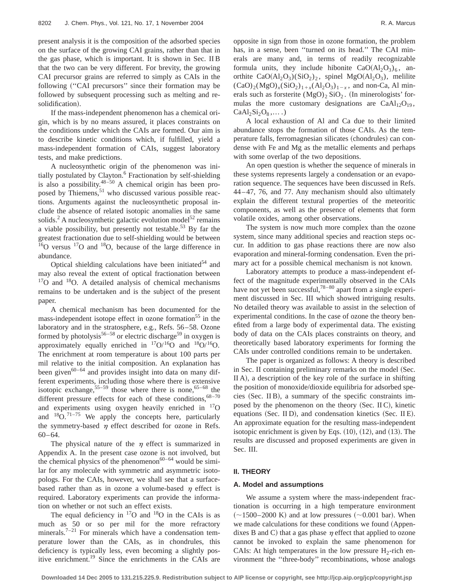present analysis it is the composition of the adsorbed species on the surface of the growing CAI grains, rather than that in the gas phase, which is important. It is shown in Sec. II B that the two can be very different. For brevity, the growing CAI precursor grains are referred to simply as CAIs in the following ("CAI precursors" since their formation may be followed by subsequent processing such as melting and resolidification).

If the mass-independent phenomenon has a chemical origin, which is by no means assured, it places constraints on the conditions under which the CAIs are formed. Our aim is to describe kinetic conditions which, if fulfilled, yield a mass-independent formation of CAIs, suggest laboratory tests, and make predictions.

A nucleosynthetic origin of the phenomenon was initially postulated by Clayton.<sup>6</sup> Fractionation by self-shielding is also a possibility. $48-50$  A chemical origin has been proposed by Thiemens,<sup>51</sup> who discussed various possible reactions. Arguments against the nucleosynthetic proposal include the absence of related isotopic anomalies in the same solids.<sup>2</sup> A nucleosynthetic galactic evolution model<sup>52</sup> remains a viable possibility, but presently not testable.<sup>53</sup> By far the greatest fractionation due to self-shielding would be between  $16$ O versus  $17$ O and  $18$ O, because of the large difference in abundance.

Optical shielding calculations have been initiated $54$  and may also reveal the extent of optical fractionation between  $17$ O and  $18$ O. A detailed analysis of chemical mechanisms remains to be undertaken and is the subject of the present paper.

A chemical mechanism has been documented for the mass-independent isotope effect in ozone formation<sup>55</sup> in the laboratory and in the stratosphere, e.g., Refs. 56–58. Ozone formed by photolysis<sup>56–58</sup> or electric discharge<sup>59</sup> in oxygen is approximately equally enriched in  $17O/16O$  and  $18O/16O$ . The enrichment at room temperature is about 100 parts per mil relative to the initial composition. An explanation has been given<sup>60–64</sup> and provides insight into data on many different experiments, including those where there is extensive isotopic exchange,  $55-59$  those where there is none,  $65-68$  the different pressure effects for each of these conditions,  $68-70$ and experiments using oxygen heavily enriched in  $^{17}$ O and  $18$ O.<sup>71–75</sup> We apply the concepts here, particularly the symmetry-based  $\eta$  effect described for ozone in Refs. 60–64.

The physical nature of the  $\eta$  effect is summarized in Appendix A. In the present case ozone is not involved, but the chemical physics of the phenomenon<sup>60–64</sup> would be similar for any molecule with symmetric and asymmetric isotopologs. For the CAIs, however, we shall see that a surfacebased rather than as in ozone a volume-based  $\eta$  effect is required. Laboratory experiments can provide the information on whether or not such an effect exists.

The equal deficiency in  $^{17}O$  and  $^{18}O$  in the CAIs is as much as 50 or so per mil for the more refractory minerals.<sup>7–21</sup> For minerals which have a condensation temperature lower than the CAIs, as in chondrules, this deficiency is typically less, even becoming a slightly positive enrichment.<sup>19</sup> Since the enrichments in the CAIs are opposite in sign from those in ozone formation, the problem has, in a sense, been ''turned on its head.'' The CAI minerals are many and, in terms of readily recognizable formula units, they include hibonite  $CaO(A_2O_3)_{6}$ , anorthite  $CaO(Al_2O_3)(SiO_2)_2$ , spinel MgO $(Al_2O_3)$ , melilite  $(CaO)_2(MgO)_x(SiO_2)_{1+x}(Al_2O_3)_{1-x}$ , and non-Ca, Al minerals such as forsterite  $(MgO)_2$  SiO<sub>2</sub>. (In minerologists' formulas the more customary designations are  $CaAl<sub>12</sub>O<sub>19</sub>$ ,  $CaAl<sub>2</sub>Si<sub>2</sub>O<sub>8</sub>,...$ 

A local exhaustion of Al and Ca due to their limited abundance stops the formation of those CAIs. As the temperature falls, ferromagnesian silicates (chondrules) can condense with Fe and Mg as the metallic elements and perhaps with some overlap of the two depositions.

An open question is whether the sequence of minerals in these systems represents largely a condensation or an evaporation sequence. The sequences have been discussed in Refs. 44–47, 76, and 77. Any mechanism should also ultimately explain the different textural properties of the meteoritic components, as well as the presence of elements that form volatile oxides, among other observations.

The system is now much more complex than the ozone system, since many additional species and reaction steps occur. In addition to gas phase reactions there are now also evaporation and mineral-forming condensation. Even the primary act for a possible chemical mechanism is not known.

Laboratory attempts to produce a mass-independent effect of the magnitude experimentally observed in the CAIs have not yet been successful,  $78-80$  apart from a single experiment discussed in Sec. III which showed intriguing results. No detailed theory was available to assist in the selection of experimental conditions. In the case of ozone the theory benefited from a large body of experimental data. The existing body of data on the CAIs places constraints on theory, and theoretically based laboratory experiments for forming the CAIs under controlled conditions remain to be undertaken.

The paper is organized as follows: A theory is described in Sec. II containing preliminary remarks on the model (Sec.  $II A$ , a description of the key role of the surface in shifting the position of monoxide/dioxide equilibria for adsorbed species  $(Sec.  $\Pi B$ ), a summary of the specific constraints im$ posed by the phenomenon on the theory  $(Sec.  $\Pi C)$ , kinetic$ equations (Sec. II D), and condensation kinetics (Sec. II E). An approximate equation for the resulting mass-independent isotopic enrichment is given by Eqs.  $(10)$ ,  $(12)$ , and  $(13)$ . The results are discussed and proposed experiments are given in Sec. III.

## **II. THEORY**

#### **A. Model and assumptions**

We assume a system where the mass-independent fractionation is occurring in a high temperature environment  $(-1500-2000 \text{ K})$  and at low pressures  $(-0.001 \text{ bar})$ . When we made calculations for these conditions we found (Appendixes B and C) that a gas phase  $\eta$  effect that applied to ozone cannot be invoked to explain the same phenomenon for CAIs: At high temperatures in the low pressure  $H_2$ -rich environment the ''three-body'' recombinations, whose analogs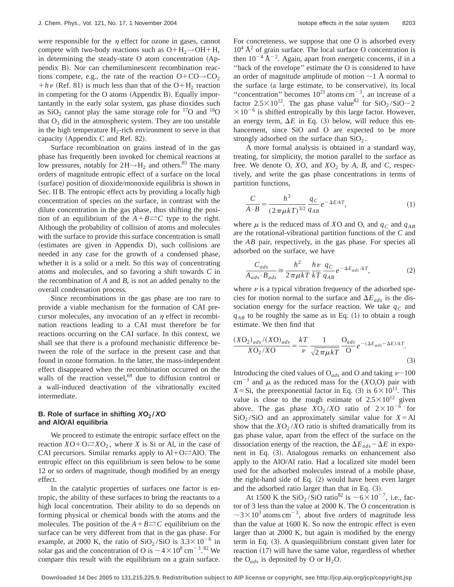were responsible for the  $\eta$  effect for ozone in gases, cannot compete with two-body reactions such as  $O+H_2\rightarrow OH+H$ , in determining the steady-state  $O$  atom concentration  $(Ap-)$ pendix B). Nor can chemiluminescent recombination reactions compete, e.g., the rate of the reaction  $O + CO \rightarrow CO_2$  $+h\nu$  (Ref. 81) is much less than that of the O+H<sub>2</sub> reaction in competing for the  $O$  atoms (Appendix B). Equally importantantly in the early solar system, gas phase dioxides such as  $SiO<sub>2</sub>$  cannot play the same storage role for  $^{17}O$  and  $^{18}O$ that  $O_3$  did in the atmospheric system. They are too unstable in the high temperature  $H_2$ -rich environment to serve in that capacity (Appendix C and Ref. 82).

Surface recombination on grains instead of in the gas phase has frequently been invoked for chemical reactions at low pressures, notably for  $2H \rightarrow H_2$  and others.<sup>83</sup> The many orders of magnitude entropic effect of a surface on the local (surface) position of dioxide/monoxide equilibria is shown in Sec. II B. The entropic effect acts by providing a locally high concentration of species on the surface, in contrast with the dilute concentration in the gas phase, thus shifting the position of an equilibrium of the  $A+B \rightleftarrows C$  type to the right. Although the probability of collision of atoms and molecules with the surface to provide this surface concentration is small  $(estimates are given in Appendix D), such collisions are$ needed in any case for the growth of a condensed phase, whether it is a solid or a melt. So this way of concentrating atoms and molecules, and so favoring a shift towards *C* in the recombination of *A* and *B*, is not an added penalty to the overall condensation process.

Since recombinations in the gas phase are too rare to provide a viable mechanism for the formation of CAI precursor molecules, any invocation of an  $\eta$  effect in recombination reactions leading to a CAI must therefore be for reactions occurring on the CAI surface. In this context, we shall see that there is a profound mechanistic difference between the role of the surface in the present case and that found in ozone formation. In the latter, the mass-independent effect disappeared when the recombination occurred on the walls of the reaction vessel,  $69$  due to diffusion control or a wall-induced deactivation of the vibrationally excited intermediate.

## **B.** Role of surface in shifting  $XO_2/XO$ **and AlOÕAl equilibria**

We proceed to estimate the entropic surface effect on the reaction  $XO+O\rightleftarrows XO_2$ , where *X* is Si or Al, in the case of CAI precursors. Similar remarks apply to  $AI+O \rightleftarrows AIO$ . The entropic effect on this equilibrium is seen below to be some 12 or so orders of magnitude, though modified by an energy effect.

In the catalytic properties of surfaces one factor is entropic, the ability of these surfaces to bring the reactants to a high local concentration. Their ability to do so depends on forming physical or chemical bonds with the atoms and the molecules. The position of the  $A+B \rightleftarrows C$  equilibrium on the surface can be very different from that in the gas phase. For example, at 2000 K, the ratio of  $SiO_2/SiO$  is  $3.3\times10^{-6}$  in solar gas and the concentration of O is  $\sim 4 \times 10^8$  cm<sup>-3</sup>.<sup>82</sup> We compare this result with the equilibrium on a grain surface. For concreteness, we suppose that one O is adsorbed every  $10^4$  Å<sup>2</sup> of grain surface. The local surface O concentration is then  $10^{-4}$   $\rm \AA^{-2}$ . Again, apart from energetic concerns, if in a ''back of the envelope'' estimate the O is considered to have an order of magnitude amplitude of motion  $\sim$  1 Å normal to the surface (a large estimate, to be conservative), its local "concentration" becomes  $10^{21}$  atoms cm<sup>-3</sup>, an increase of a factor 2.5 $\times$ 10<sup>12</sup>. The gas phase value<sup>82</sup> for SiO<sub>2</sub>/SiO $\sim$ 2  $\times 10^{-6}$  is shifted entropically by this large factor. However, an energy term,  $\Delta E$  in Eq. (3) below, will reduce this enhancement, since SiO and O are expected to be more strongly adsorbed on the surface than  $SiO<sub>2</sub>$ .

A more formal analysis is obtained in a standard way, treating, for simplicity, the motion parallel to the surface as free. We denote O,  $XO$ , and  $XO_2$  by  $A$ ,  $B$ , and  $C$ , respectively, and write the gas phase concentrations in terms of partition functions,

$$
\frac{C}{A \cdot B} = \frac{h^3}{(2 \pi \mu k T)^{3/2}} \frac{q_C}{q_{AB}} e^{-\Delta E/kT},
$$
(1)

where  $\mu$  is the reduced mass of *XO* and *O*, and  $q_C$  and  $q_{AB}$ are the rotational-vibrational partition functions of the *C* and the *AB* pair, respectively, in the gas phase. For species all adsorbed on the surface, we have

$$
\frac{C_{ads}}{A_{ads} \cdot B_{ads}} \approx \frac{h^2}{2 \pi \mu kT} \frac{h\nu}{kT} \frac{q_C}{q_{AB}} e^{-\Delta E_{ads}/kT},
$$
(2)

where  $\nu$  is a typical vibration frequency of the adsorbed species for motion normal to the surface and  $\Delta E_{ads}$  is the dissociation energy for the surface reaction. We take  $q_c$  and  $q_{AB}$  to be roughly the same as in Eq. (1) to obtain a rough estimate. We then find that

$$
\frac{(XO_2)_{ads}/(XO)_{ads}}{XO_2/XO} = \frac{kT}{\nu} \frac{1}{\sqrt{2\pi\mu kT}} \frac{O_{ads}}{O} e^{-(\Delta E_{ads} - \Delta E)/kT}.
$$
\n(3)

Introducing the cited values of O<sub>ads</sub> and O and taking  $\nu$  ~100 cm<sup>-1</sup> and  $\mu$  as the reduced mass for the (*X*O,O) pair with *X*=Si, the preexponential factor in Eq. (3) is  $6 \times 10^{11}$ . This value is close to the rough estimate of  $2.5 \times 10^{12}$  given above. The gas phase  $XO_2/XO$  ratio of  $2 \times 10^{-6}$  for  $SiO<sub>2</sub>/SiO$  and an approximately similar value for  $X=AI$ show that the  $XO_2/XO$  ratio is shifted dramatically from its gas phase value, apart from the effect of the surface on the dissociation energy of the reaction, the  $\Delta E_{ads} - \Delta E$  in exponent in Eq. (3). Analogous remarks on enhancement also apply to the AlO/Al ratio. Had a localized site model been used for the adsorbed molecules instead of a mobile phase, the right-hand side of Eq.  $(2)$  would have been even larger and the adsorbed ratio larger than that in Eq.  $(3)$ .

At 1500 K the SiO<sub>2</sub>/SiO ratio<sup>82</sup> is  $\sim$  6 $\times$ 10<sup>-7</sup>, i.e., factor of 3 less than the value at 2000 K. The O concentration is  $\sim$ 3×10<sup>3</sup> atoms cm<sup>-3</sup>, about five orders of magnitude less than the value at 1600 K. So now the entropic effect is even larger than at 2000 K, but again is modified by the energy term in Eq.  $(3)$ . A quasiequilibrium constant given later for reaction  $(17)$  will have the same value, regardless of whether the  $O_{ads}$  is deposited by O or  $H_2O$ .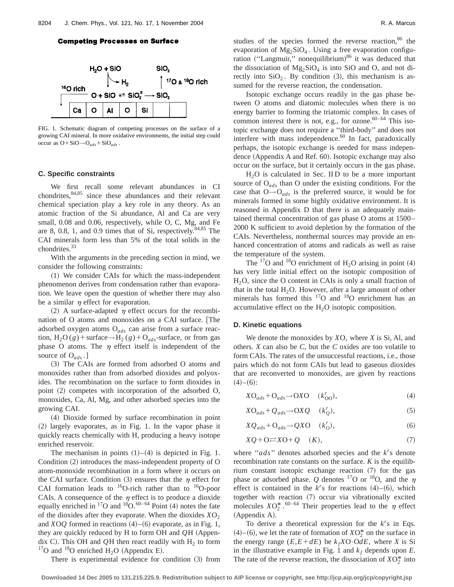### **Competing Processes on Surface**



FIG. 1. Schematic diagram of competing processes on the surface of a growing CAI mineral. In more oxidative environments, the initial step could occur as  $O+SiO \rightarrow O_{ads} + SiO_{ads}$ .

#### **C. Specific constraints**

We first recall some relevant abundances in CI chondrites, $84,85$  since these abundances and their relevant chemical speciation play a key role in any theory. As an atomic fraction of the Si abundance, Al and Ca are very small, 0.08 and 0.06, respectively, while O, C, Mg, and Fe are 8, 0.8, 1, and 0.9 times that of Si, respectively.  $84,85$  The CAI minerals form less than 5% of the total solids in the chondrites.<sup>33</sup>

With the arguments in the preceding section in mind, we consider the following constraints:

 $(1)$  We consider CAIs for which the mass-independent phenomenon derives from condensation rather than evaporation. We leave open the question of whether there may also be a similar  $\eta$  effect for evaporation.

(2) A surface-adapted  $\eta$  effect occurs for the recombination of O atoms and monoxides on a CAI surface. [The adsorbed oxygen atoms O*ads* can arise from a surface reaction,  $H_2O(g)$ +surface→H<sub>2</sub> (*g*)+O<sub>ads</sub>-surface, or from gas phase O atoms. The  $\eta$  effect itself is independent of the source of O*ads* .]

(3) The CAIs are formed from adsorbed O atoms and monoxides rather than from adsorbed dioxides and polyoxides. The recombination on the surface to form dioxides in point  $(2)$  competes with incorporation of the adsorbed O, monoxides, Ca, Al, Mg, and other adsorbed species into the growing CAI.

~4! Dioxide formed by surface recombination in point  $(2)$  largely evaporates, as in Fig. 1. In the vapor phase it quickly reacts chemically with H, producing a heavy isotope enriched reservoir.

The mechanism in points  $(1)–(4)$  is depicted in Fig. 1. Condition  $(2)$  introduces the mass-independent property of O atom-monoxide recombination in a form where it occurs on the CAI surface. Condition (3) ensures that the  $\eta$  effect for CAI formation leads to  $^{16}O$ -rich rather than to  $^{16}O$ -poor CAIs. A consequence of the  $\eta$  effect is to produce a dioxide equally enriched in  $^{17}O$  and  $^{18}O$ .  $^{60-64}$  Point (4) notes the fate of the dioxides after they evaporate. When the dioxides  $XO_2$ and *XOQ* formed in reactions  $(4)$ – $(6)$  evaporate, as in Fig. 1, they are quickly reduced by H to form OH and  $QH$  (Appendix C). This OH and  $QH$  then react readily with  $H<sub>2</sub>$  to form <sup>17</sup>O and <sup>18</sup>O enriched  $H_2O$  (Appendix E).

There is experimental evidence for condition  $(3)$  from

studies of the species formed the reverse reaction, $86$  the evaporation of  $Mg_2SiO<sub>4</sub>$ . Using a free evaporation configuration ("Langmuir," nonequilibrium)<sup>86</sup> it was deduced that the dissociation of  $Mg_2SiO_4$  is into SiO and O, and not directly into  $SiO<sub>2</sub>$ . By condition (3), this mechanism is assumed for the reverse reaction, the condensation.

Isotopic exchange occurs readily in the gas phase between O atoms and diatomic molecules when there is no energy barrier to forming the triatomic complex. In cases of common interest there is not, e.g., for ozone.  $60-64$  This isotopic exchange does not require a ''third-body'' and does not interfere with mass independence.<sup>60</sup> In fact, paradoxically perhaps, the isotopic exchange is needed for mass independence (Appendix A and Ref.  $60$ ). Isotopic exchange may also occur on the surface, but it certainly occurs in the gas phase.

 $H<sub>2</sub>O$  is calculated in Sec. II D to be a more important source of O*ads* than O under the existing conditions. For the case that  $O \rightarrow O_{ads}$  is the preferred source, it would be for minerals formed in some highly oxidative environment. It is reasoned in Appendix D that there is an adequately maintained thermal concentration of gas phase O atoms at 1500– 2000 K sufficient to avoid depletion by the formation of the CAIs. Nevertheless, nonthermal sources may provide an enhanced concentration of atoms and radicals as well as raise the temperature of the system.

The  $^{17}$ O and  $^{18}$ O enrichment of H<sub>2</sub>O arising in point (4) has very little initial effect on the isotopic composition of  $H<sub>2</sub>O$ , since the O content in CAIs is only a small fraction of that in the total  $H_2O$ . However, after a large amount of other minerals has formed this  $17$ O and  $18$ O enrichment has an accumulative effect on the  $H_2O$  isotopic composition.

#### **D. Kinetic equations**

We denote the monoxides by *X*O, where *X* is Si, Al, and others. *X* can also be *C*, but the *C* oxides are too volatile to form CAIs. The rates of the unsuccessful reactions, i.e., those pairs which do not form CAIs but lead to gaseous dioxides that are reconverted to monoxides, are given by reactions  $(4)–(6):$ 

$$
XO_{ads} + O_{ads} \rightarrow OXO \quad (k_{OO}^r), \tag{4}
$$

$$
X\mathcal{O}_{ads} + \mathcal{Q}_{ads} \rightarrow \mathcal{O}X\mathcal{Q} \quad (k_Q^r),\tag{5}
$$

$$
XQ_{ads} + O_{ads} \rightarrow QXO \quad (k_0'),\tag{6}
$$

$$
XQ + O \rightleftharpoons XO + Q \quad (K), \tag{7}
$$

where " $ads$ " denotes adsorbed species and the  $k^r$ s denote recombination rate constants on the surface. *K* is the equilibrium constant isotopic exchange reaction  $(7)$  for the gas phase or adsorbed phase. *Q* denotes <sup>17</sup>O or <sup>18</sup>O, and the  $\eta$ effect is contained in the  $k^r$ s for reactions  $(4)$ – $(6)$ , which together with reaction (7) occur via vibrationally excited molecules  $XO_2^*$ .<sup>60–64</sup> Their properties lead to the  $\eta$  effect (Appendix A).

To derive a theoretical expression for the  $k<sup>r</sup>$ s in Eqs.  $(4)$ – $(6)$ , we let the rate of formation of  $XO_2^*$  on the surface in the energy range  $(E, E + dE)$  be  $k_f X O \cdot O dE$ , where *X* is Si in the illustrative example in Fig. 1 and  $k_f$  depends upon  $E$ . The rate of the reverse reaction, the dissociation of  $XO_2^*$  into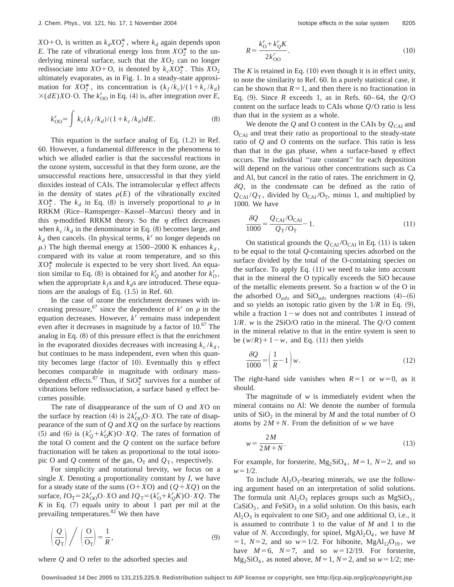$XO+O$ , is written as  $k_d XO_2^*$ , where  $k_d$  again depends upon *E*. The rate of vibrational energy loss from  $XO_2^*$  to the underlying mineral surface, such that the  $XO_2$  can no longer redissociate into  $XO+O$ , is denoted by  $k_c XO_2^*$ . This  $XO_2$ ultimately evaporates, as in Fig. 1. In a steady-state approximation for  $XO_2^*$ , its concentration is  $(k_f/k_c)/(1+k_c/k_d)$  $\times$ (*dE*)*X*O·O. The  $k_{OO}^r$  in Eq. (4) is, after integration over *E*,

$$
k_{\rm OO}^r = \int k_c (k_f / k_d) / (1 + k_c / k_d) dE.
$$
 (8)

This equation is the surface analog of Eq.  $(1.2)$  in Ref. 60. However, a fundamental difference in the phenomena to which we alluded earlier is that the successful reactions in the ozone system, successful in that they form ozone, are the unsuccessful reactions here, unsuccessful in that they yield dioxides instead of CAIs. The intramolecular  $\eta$  effect affects in the density of states  $\rho(E)$  of the vibrationally excited  $XO_2^*$ . The  $k_d$  in Eq. (8) is inversely proportional to  $\rho$  in RRKM (Rice–Ramsperger–Kassel–Marcus) theory and in this  $\eta$ -modified RRKM theory. So the  $\eta$  effect decreases when  $k_c / k_d$  in the denominator in Eq. (8) becomes large, and  $k_d$  then cancels. (In physical terms,  $k^r$  no longer depends on  $\rho$ .) The high thermal energy at 1500–2000 K enhances  $k_d$ , compared with its value at room temperature, and so this  $XO_2^*$  molecule is expected to be very short lived. An equation similar to Eq. (8) is obtained for  $k_Q^r$  and another for  $k_Q^r$ , when the appropriate  $k_f$ s and  $k_d$ s are introduced. These equations are the analogs of Eq.  $(1.5)$  in Ref. 60.

In the case of ozone the enrichment decreases with increasing pressure,<sup>67</sup> since the dependence of  $k^r$  on  $\rho$  in the equation decreases. However, *k<sup>r</sup>* remains mass independent even after it decreases in magnitude by a factor of 10.<sup>67</sup> The analog in Eq.  $(8)$  of this pressure effect is that the enrichment in the evaporated dioxides decreases with increasing  $k_c / k_d$ , but continues to be mass independent, even when this quantity becomes large (factor of 10). Eventually this  $\eta$  effect becomes comparable in magnitude with ordinary massdependent effects.<sup>87</sup> Thus, if  $SiO_2^*$  survives for a number of vibrations before redissociation, a surface based  $\eta$  effect becomes possible.

The rate of disappearance of the sum of O and *X*O on the surface by reaction (4) is  $2k_{OO}^rO\cdot XO$ . The rate of disappearance of the sum of *Q* and *XQ* on the surface by reactions  $(5)$  and  $(6)$  is  $(k_Q^r + k_O^r K)O \cdot XQ$ . The rates of formation of the total O content and the *Q* content on the surface before fractionation will be taken as proportional to the total isotopic O and Q content of the gas,  $O_T$  and  $Q_T$ , respectively.

For simplicity and notational brevity, we focus on a single *X*. Denoting a proportionality constant by *I*, we have for a steady state of the sums  $(0+X0)$  and  $(Q+XQ)$  on the surface,  $I O_T = 2k_{OO}^r O \cdot X O$  and  $I Q_T = (k_O^r + k_Q^r K) O \cdot X Q$ . The  $K$  in Eq.  $(7)$  equals unity to about 1 part per mil at the prevailing temperatures.<sup>82</sup> We then have

$$
\left(\frac{Q}{Q_{\rm T}}\right) / \left(\frac{O}{O_{\rm T}}\right) = \frac{1}{R},\tag{9}
$$

where *Q* and O refer to the adsorbed species and

$$
R = \frac{k'_0 + k'_0 K}{2k'_{00}}.\tag{10}
$$

The  $K$  is retained in Eq.  $(10)$  even though it is in effect unity, to note the similarity to Ref. 60. In a purely statistical case, it can be shown that  $R=1$ , and then there is no fractionation in Eq. (9). Since *R* exceeds 1, as in Refs. 60–64, the  $Q/O$ content on the surface leads to CAIs whose *Q*/O ratio is less than that in the system as a whole.

We denote the  $Q$  and O content in the CAIs by  $Q_{CAI}$  and  $O<sub>CAI</sub>$  and treat their ratio as proportional to the steady-state ratio of *Q* and O contents on the surface. This ratio is less than that in the gas phase, when a surface-based  $\eta$  effect occurs. The individual ''rate constant'' for each deposition will depend on the various other concentrations such as Ca and Al, but cancel in the ratio of rates. The enrichment in *Q*,  $\delta Q$ , in the condensate can be defined as the ratio of  $Q_{\text{CAI}}/Q_{\text{T}}$ , divided by O<sub>CAI</sub>/O<sub>T</sub>, minus 1, and multiplied by 1000. We have

$$
\frac{\delta Q}{1000} = \frac{Q_{\text{CAI}}/Q_{\text{CAI}}}{Q_{\text{T}}/Q_{\text{T}}} - 1.
$$
\n(11)

On statistical grounds the  $Q_{\text{CAI}}/O_{\text{CAI}}$  in Eq. (11) is taken to be equal to the total *Q*-containing species adsorbed on the surface divided by the total of the O-containing species on the surface. To apply Eq.  $(11)$  we need to take into account that in the mineral the O typically exceeds the SiO because of the metallic elements present. So a fraction *w* of the O in the adsorbed  $O_{ads}$  and  $SiO_{ads}$  undergoes reactions  $(4)$ – $(6)$ and so yields an isotopic ratio given by the  $1/R$  in Eq.  $(9)$ , while a fraction  $1-w$  does not and contributes 1 instead of 1/*R*. *w* is the 2SiO/O ratio in the mineral. The *Q*/O content in the mineral relative to that in the entire system is seen to be  $(w/R) + 1 - w$ , and Eq. (11) then yields

$$
\frac{\delta Q}{1000} = \left(\frac{1}{R} - 1\right) w.
$$
\n(12)

The right-hand side vanishes when  $R=1$  or  $w=0$ , as it should.

The magnitude of *w* is immediately evident when the mineral contains no Al: We denote the number of formula units of  $SiO<sub>2</sub>$  in the mineral by *M* and the total number of O atoms by  $2M+N$ . From the definition of *w* we have

$$
w = \frac{2M}{2M + N}.\tag{13}
$$

For example, for forsterite,  $Mg_2SiO_4$ ,  $M=1$ ,  $N=2$ , and so  $w=1/2$ .

To include  $Al_2O_3$ -bearing minerals, we use the following argument based on an interpretation of solid solutions. The formula unit  $Al_2O_3$  replaces groups such as  $MgSiO_3$ ,  $CaSiO<sub>3</sub>$ , and FeSiO<sub>3</sub> in a solid solution. On this basis, each  $Al_2O_3$  is equivalent to one  $SiO_2$  and one additional O, i.e., it is assumed to contribute 1 to the value of *M* and 1 to the value of *N*. Accordingly, for spinel,  $MgAl<sub>2</sub>O<sub>4</sub>$ , we have *M*  $=1, N=2, \text{ and so } w=1/2. \text{ For hibonite, MgAl}_{12}O_{19}, \text{ we}$ have  $M=6$ ,  $N=7$ , and so  $w=12/19$ . For forsterite,  $Mg_2SiO_4$ , as noted above,  $M=1$ ,  $N=2$ , and so  $w=1/2$ ; me-

**Downloaded 14 Dec 2005 to 131.215.225.9. Redistribution subject to AIP license or copyright, see http://jcp.aip.org/jcp/copyright.jsp**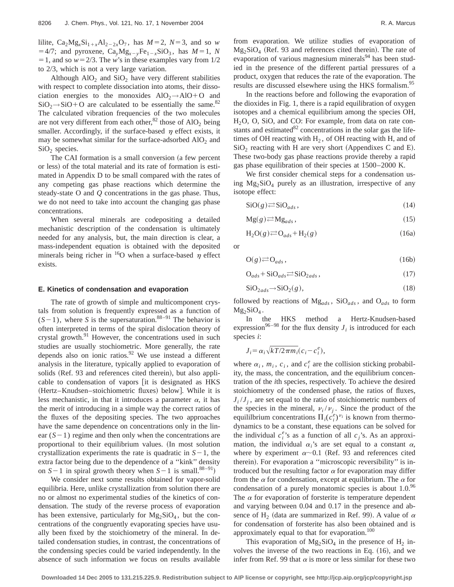lilite,  $Ca_2Mg_xSi_{1+x}Al_{2-2x}O_7$ , has  $M=2$ ,  $N=3$ , and so *w*  $=4/7$ ; and pyroxene,  $Ca_yMg_{x-y}Fe_{1-x}SiO_3$ , has  $M=1$ , *N*  $=1$ , and so  $w=2/3$ . The *w*'s in these examples vary from  $1/2$ to 2/3, which is not a very large variation.

Although  $AIO<sub>2</sub>$  and  $SiO<sub>2</sub>$  have very different stabilities with respect to complete dissociation into atoms, their dissociation energies to the monoxides  $AIO_2 \rightarrow AIO+O$  and  $SiO<sub>2</sub>\rightarrow SiO+O$  are calculated to be essentially the same.<sup>82</sup> The calculated vibration frequencies of the two molecules are not very different from each other, $82$  those of AlO<sub>2</sub> being smaller. Accordingly, if the surface-based  $\eta$  effect exists, it may be somewhat similar for the surface-adsorbed  $AIO<sub>2</sub>$  and  $SiO<sub>2</sub>$  species.

The CAI formation is a small conversion (a few percent or less) of the total material and its rate of formation is estimated in Appendix D to be small compared with the rates of any competing gas phase reactions which determine the steady-state O and *Q* concentrations in the gas phase. Thus, we do not need to take into account the changing gas phase concentrations.

When several minerals are codepositing a detailed mechanistic description of the condensation is ultimately needed for any analysis, but, the main direction is clear, a mass-independent equation is obtained with the deposited minerals being richer in <sup>16</sup>O when a surface-based  $\eta$  effect exists.

### **E. Kinetics of condensation and evaporation**

The rate of growth of simple and multicomponent crystals from solution is frequently expressed as a function of  $(S-1)$ , where *S* is the supersaturation.<sup>88–91</sup> The behavior is often interpreted in terms of the spiral dislocation theory of crystal growth.<sup>91</sup> However, the concentrations used in such studies are usually stochiometric. More generally, the rate depends also on ionic ratios.<sup>92</sup> We use instead a different analysis in the literature, typically applied to evaporation of solids (Ref. 93 and references cited therein), but also applicable to condensation of vapors [it is designated as HKS (Hertz–Knudsen–stoichiometric fluxes) below]. While it is less mechanistic, in that it introduces a parameter  $\alpha$ , it has the merit of introducing in a simple way the correct ratios of the fluxes of the depositing species. The two approaches have the same dependence on concentrations only in the linear  $(S-1)$  regime and then only when the concentrations are proportional to their equilibrium values. (In most solution crystallization experiments the rate is quadratic in  $S-1$ , the extra factor being due to the dependence of a ''kink'' density on  $S-1$  in spiral growth theory when  $S-1$  is small.<sup>88–91</sup>)

We consider next some results obtained for vapor-solid equilibria. Here, unlike crystallization from solution there are no or almost no experimental studies of the kinetics of condensation. The study of the reverse process of evaporation has been extensive, particularly for  $Mg_2SiO_4$ , but the concentrations of the congruently evaporating species have usually been fixed by the stoichiometry of the mineral. In detailed condensation studies, in contrast, the concentrations of the condensing species could be varied independently. In the absence of such information we focus on results available from evaporation. We utilize studies of evaporation of  $Mg_2SiO<sub>4</sub>$  (Ref. 93 and references cited therein). The rate of evaporation of various magnesium minerals<sup>94</sup> has been studied in the presence of the different partial pressures of a product, oxygen that reduces the rate of the evaporation. The results are discussed elsewhere using the HKS formalism.<sup>95</sup>

In the reactions before and following the evaporation of the dioxides in Fig. 1, there is a rapid equilibration of oxygen isotopes and a chemical equilibrium among the species OH, H<sub>2</sub>O, O, SiO, and CO: For example, from data on rate constants and estimated $82$  concentrations in the solar gas the lifetimes of OH reacting with  $H_2$ , of OH reacting with H, and of  $SiO<sub>2</sub>$  reacting with H are very short (Appendixes C and E). These two-body gas phase reactions provide thereby a rapid gas phase equilibration of their species at 1500–2000 K.

We first consider chemical steps for a condensation using  $Mg_2SiO_4$  purely as an illustration, irrespective of any isotope effect:

$$
\text{SiO}(g) \rightleftharpoons \text{SiO}_{ads},\tag{14}
$$

$$
Mg(g) \rightleftarrows Mg_{ads}, \tag{15}
$$

$$
H_2O(g) \rightleftarrows O_{ads} + H_2(g) \tag{16a}
$$

or

$$
O(g) \rightleftarrows O_{ads},\tag{16b}
$$

$$
O_{ads} + SiO_{ads} \rightleftharpoons SiO_{2ads},\tag{17}
$$

$$
SiO_{2ads} \rightarrow SiO_2(g), \tag{18}
$$

followed by reactions of Mg*ads* , SiO*ads* , and O*ads* to form  $Mg_2SiO_4$ .

In the HKS method a Hertz-Knudsen-based expression<sup>96–98</sup> for the flux density  $J_i$  is introduced for each species *i*:

$$
J_i = \alpha_i \sqrt{kT/2\pi m_i} (c_i - c_i^e),
$$

where  $\alpha_i$ ,  $m_i$ ,  $c_i$ , and  $c_i^e$  are the collision sticking probability, the mass, the concentration, and the equilibrium concentration of the *i*th species, respectively. To achieve the desired stoichiometry of the condensed phase, the ratios of fluxes,  $J_i / J_j$ , are set equal to the ratio of stoichiometric numbers of the species in the mineral,  $v_i/v_i$ . Since the product of the equililbrium concentrations  $\Pi_i(c_i^e)^{\nu_i}$  is known from thermodynamics to be a constant, these equations can be solved for the individual  $c_i^e$ 's as a function of all  $c_j$ 's. As an approximation, the individual  $\alpha_i$ 's are set equal to a constant  $\alpha$ , where by experiment  $\alpha$ ~0.1 (Ref. 93 and references cited therein). For evaporation a "microscopic reversibility" is introduced but the resulting factor  $\alpha$  for evaporation may differ from the  $\alpha$  for condensation, except at equilibrium. The  $\alpha$  for condensation of a purely monatomic species is about 1.0.<sup>96</sup> The  $\alpha$  for evaporation of forsterite is temperature dependent and varying between 0.04 and 0.17 in the presence and absence of H<sub>2</sub> (data are summarized in Ref. 99). A value of  $\alpha$ for condensation of forsterite has also been obtained and is approximately equal to that for evaporation.<sup>100</sup>

This evaporation of  $Mg_2SiO_4$  in the presence of  $H_2$  involves the inverse of the two reactions in Eq.  $(16)$ , and we infer from Ref. 99 that  $\alpha$  is more or less similar for these two

**Downloaded 14 Dec 2005 to 131.215.225.9. Redistribution subject to AIP license or copyright, see http://jcp.aip.org/jcp/copyright.jsp**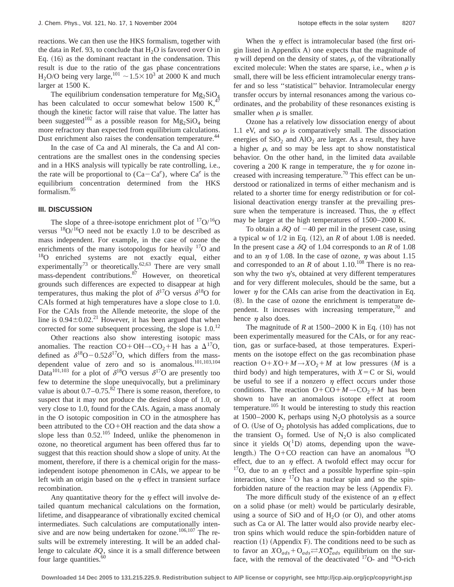reactions. We can then use the HKS formalism, together with the data in Ref. 93, to conclude that  $H<sub>2</sub>O$  is favored over O in Eq.  $(16)$  as the dominant reactant in the condensation. This result is due to the ratio of the gas phase concentrations H<sub>2</sub>O/O being very large,<sup>101</sup>  $\sim$  1.5 $\times$ 10<sup>3</sup> at 2000 K and much larger at 1500 K.

The equilibrium condensation temperature for  $Mg_2SiO_4$ has been calculated to occur somewhat below 1500 K, $4$ though the kinetic factor will raise that value. The latter has been suggested<sup>102</sup> as a possible reason for  $Mg_2SiO_4$  being more refractory than expected from equilibrium calculations. Dust enrichment also raises the condensation temperature.<sup>44</sup>

In the case of Ca and Al minerals, the Ca and Al concentrations are the smallest ones in the condensing species and in a HKS analysis will typically be rate controlling, i.e., the rate will be proportional to  $(Ca-Ca^e)$ , where  $Ca^e$  is the equilibrium concentration determined from the HKS formalism.95

### **III. DISCUSSION**

The slope of a three-isotope enrichment plot of  $17O/16O$ versus  $\frac{18}{9}$ / $\frac{16}{9}$  need not be exactly 1.0 to be described as mass independent. For example, in the case of ozone the enrichments of the many isotopologus for heavily  $17$ O and 18O enriched systems are not exactly equal, either experimentally<sup>73</sup> or theoretically.<sup>62,63</sup> There are very small mass-dependent contributions.87 However, on theoretical grounds such differences are expected to disappear at high temperatures, thus making the plot of  $\delta^{17}$ O versus  $\delta^{18}$ O for CAIs formed at high temperatures have a slope close to 1.0. For the CAIs from the Allende meteorite, the slope of the line is  $0.94 \pm 0.02$ <sup>21</sup> However, it has been argued that when corrected for some subsequent processing, the slope is  $1.0$ .<sup>12</sup>

Other reactions also show interesting isotopic mass anomalies. The reaction CO+OH→CO<sub>2</sub>+H has a  $\Delta^{17}$ O, defined as  $\delta^{18}O - 0.52 \delta^{17}O$ , which differs from the massdependent value of zero and so is anomalous.<sup>101,103,104</sup> Data<sup>101,103</sup> for a plot of  $\delta^{18}$ O versus  $\delta^{17}$ O are presently too few to determine the slope unequivocally, but a preliminary value is about  $0.7-0.75$ .<sup>82</sup> There is some reason, therefore, to suspect that it may not produce the desired slope of 1.0, or very close to 1.0, found for the CAIs. Again, a mass anomaly in the O isotopic composition in CO in the atmosphere has been attributed to the  $CO+OH$  reaction and the data show a slope less than  $0.52^{105}$  Indeed, unlike the phenomenon in ozone, no theoretical argument has been offered thus far to suggest that this reaction should show a slope of unity. At the moment, therefore, if there is a chemical origin for the massindependent isotope phenomenon in CAIs, we appear to be left with an origin based on the  $\eta$  effect in transient surface recombination.

Any quantitative theory for the  $\eta$  effect will involve detailed quantum mechanical calculations on the formation, lifetime, and disappearance of vibrationally excited chemical intermediates. Such calculations are computationally intensive and are now being undertaken for ozone.<sup>106,107</sup> The results will be extremely interesting. It will be an added challenge to calculate  $\delta Q$ , since it is a small difference between four large quantities.<sup>60</sup>

When the  $\eta$  effect is intramolecular based (the first origin listed in Appendix  $A$ ) one expects that the magnitude of  $\eta$  will depend on the density of states,  $\rho$ , of the vibrationally excited molecule: When the states are sparse, i.e., when  $\rho$  is small, there will be less efficient intramolecular energy transfer and so less ''statistical'' behavior. Intramolecular energy transfer occurs by internal resonances among the various coordinates, and the probability of these resonances existing is smaller when  $\rho$  is smaller.

Ozone has a relatively low dissociation energy of about 1.1 eV, and so  $\rho$  is comparatively small. The dissociation energies of  $SiO<sub>2</sub>$  and  $AlO<sub>2</sub>$  are larger. As a result, they have a higher  $\rho$ , and so may be less apt to show nonstatistical behavior. On the other hand, in the limited data available covering a 200 K range in temperature, the  $\eta$  for ozone increased with increasing temperature.<sup>70</sup> This effect can be understood or rationalized in terms of either mechanism and is related to a shorter time for energy redistribution or for collisional deactivation energy transfer at the prevailing pressure when the temperature is increased. Thus, the  $\eta$  effect may be larger at the high temperatures of 1500–2000 K.

To obtain a  $\delta Q$  of  $-40$  per mil in the present case, using a typical *w* of  $1/2$  in Eq.  $(12)$ , an *R* of about 1.08 is needed. In the present case a  $\delta Q$  of 1.04 corresponds to an *R* of 1.08 and to an  $\eta$  of 1.08. In the case of ozone,  $\eta$  was about 1.15 and corresponded to an  $R$  of about 1.10.<sup>108</sup> There is no reason why the two  $\eta$ 's, obtained at very different temperatures and for very different molecules, should be the same, but a lower  $\eta$  for the CAIs can arise from the deactivation in Eq.  $(8)$ . In the case of ozone the enrichment is temperature dependent. It increases with increasing temperature, $70$  and hence  $\eta$  also does.

The magnitude of  $R$  at 1500–2000 K in Eq.  $(10)$  has not been experimentally measured for the CAIs, or for any reaction, gas or surface-based, at those temperatures. Experiments on the isotope effect on the gas recombination phase reaction  $O+XO+M \rightarrow XO_2+M$  at low pressures  $(M \text{ is a})$ third body) and high temperatures, with  $X = C$  or Si, would be useful to see if a nonzero  $\eta$  effect occurs under those conditions. The reaction  $O+CO+M\rightarrow CO_2+M$  has been shown to have an anomalous isotope effect at room temperature.<sup>105</sup> It would be interesting to study this reaction at  $1500-2000$  K, perhaps using N<sub>2</sub>O photolysis as a source of O. (Use of  $O<sub>2</sub>$  photolysis has added complications, due to the transient  $O_3$  formed. Use of  $N_2O$  is also complicated since it yields  $O(^{1}D)$  atoms, depending upon the wavelength.) The O+CO reaction can have an anomalous  $^{18}$ O effect, due to an  $\eta$  effect. A twofold effect may occur for <sup>17</sup>O, due to an  $\eta$  effect and a possible hyperfine spin–spin interaction, since  $\frac{17}{0}$  has a nuclear spin and so the spinforbidden nature of the reaction may be less (Appendix F).

The more difficult study of the existence of an  $\eta$  effect on a solid phase (or melt) would be particularly desirable, using a source of SiO and of  $H_2O$  (or O), and other atoms such as Ca or Al. The latter would also provide nearby electron spins which would reduce the spin-forbidden nature of reaction  $(1)$  (Appendix F). The conditions need to be such as to favor an  $XO_{ads} + O_{ads} \rightleftharpoons XO_{2ads}^{*}$  equilibrium on the surface, with the removal of the deactivated  $17O$ - and  $18O$ -rich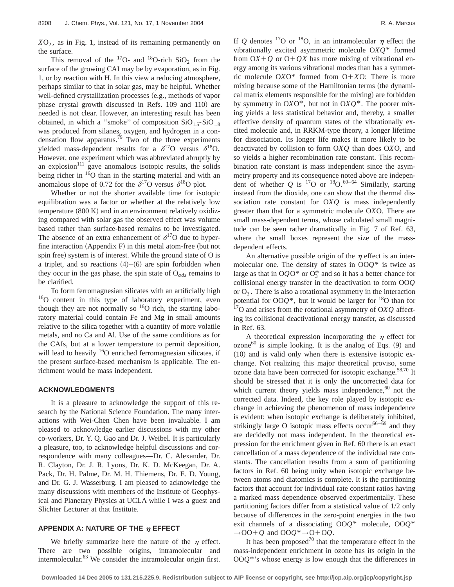$XO<sub>2</sub>$ , as in Fig. 1, instead of its remaining permanently on the surface.

This removal of the  $^{17}O$ - and  $^{18}O$ -rich SiO<sub>2</sub> from the surface of the growing CAI may be by evaporation, as in Fig. 1, or by reaction with H. In this view a reducing atmosphere, perhaps similar to that in solar gas, may be helpful. Whether well-defined crystallization processes (e.g., methods of vapor phase crystal growth discussed in Refs. 109 and 110) are needed is not clear. However, an interesting result has been obtained, in which a "smoke" of composition  $SiO<sub>1.5</sub>-SiO<sub>1.8</sub>$ was produced from silanes, oxygen, and hydrogen in a condensation flow apparatus.<sup>79</sup> Two of the three experiments yielded mass-dependent results for a  $\delta^{17}$ O versus  $\delta^{18}$ O. However, one experiment which was abbreviated abruptly by an explosion $111$  gave anomalous isotopic results, the solids being richer in <sup>16</sup>O than in the starting material and with an anomalous slope of 0.72 for the  $\delta^{17}$ O versus  $\delta^{18}$ O plot.

Whether or not the shorter available time for isotopic equilibration was a factor or whether at the relatively low temperature  $(800 \text{ K})$  and in an environment relatively oxidizing compared with solar gas the observed effect was volume based rather than surface-based remains to be investigated. The absence of an extra enhancement of  $\delta^{17}O$  due to hyperfine interaction  $(Appendix F)$  in this metal atom-free (but not spin free) system is of interest. While the ground state of O is a triplet, and so reactions  $(4)$ – $(6)$  are spin forbidden when they occur in the gas phase, the spin state of O*ads* remains to be clarified.

To form ferromagnesian silicates with an artificially high <sup>16</sup>O content in this type of laboratory experiment, even though they are not normally so  $^{16}O$  rich, the starting laboratory material could contain Fe and Mg in small amounts relative to the silica together with a quantity of more volatile metals, and no Ca and Al. Use of the same conditions as for the CAIs, but at a lower temperature to permit deposition, will lead to heavily  $16$ O enriched ferromagnesian silicates, if the present surface-based mechanism is applicable. The enrichment would be mass independent.

#### **ACKNOWLEDGMENTS**

It is a pleasure to acknowledge the support of this research by the National Science Foundation. The many interactions with Wei-Chen Chen have been invaluable. I am pleased to acknowledge earlier discussions with my other co-workers, Dr. Y. Q. Gao and Dr. J. Weibel. It is particularly a pleasure, too, to acknowledge helpful discussions and correspondence with many colleagues—Dr. C. Alexander, Dr. R. Clayton, Dr. J. R. Lyons, Dr. K. D. McKeegan, Dr. A. Pack, Dr. H. Palme, Dr. M. H. Thiemens, Dr. E. D. Young, and Dr. G. J. Wasserburg. I am pleased to acknowledge the many discussions with members of the Institute of Geophysical and Planetary Physics at UCLA while I was a guest and Slichter Lecturer at that Institute.

## **APPENDIX A: NATURE OF THE**  $\eta$  **EFFECT**

We briefly summarize here the nature of the  $\eta$  effect. There are two possible origins, intramolecular and intermolecular.<sup>63</sup> We consider the intramolecular origin first.

If *Q* denotes <sup>17</sup>O or <sup>18</sup>O, in an intramolecular  $\eta$  effect the vibrationally excited asymmetric molecule O*XQ*\* formed from  $O(X+Q)$  or  $O+QX$  has more mixing of vibrational energy among its various vibrational modes than has a symmetric molecule  $O X O^*$  formed from  $O+X O$ : There is more mixing because some of the Hamiltonian terms (the dynamical matrix elements responsible for the mixing) are forbidden by symmetry in O*X*O\*, but not in O*XQ*\*. The poorer mixing yields a less statistical behavior and, thereby, a smaller effective density of quantum states of the vibrationally excited molecule and, in RRKM-type theory, a longer lifetime for dissociation. Its longer life makes it more likely to be deactivated by collision to form O*XQ* than does O*X*O, and so yields a higher recombination rate constant. This recombination rate constant is mass independent since the asymmetry property and its consequence noted above are independent of whether *Q* is  $^{17}$ O or  $^{18}$ O.<sup>60–64</sup> Similarly, starting instead from the dioxide, one can show that the thermal dissociation rate constant for O*XQ* is mass independently greater than that for a symmetric molecule O*X*O. There are small mass-dependent terms, whose calculated small magnitude can be seen rather dramatically in Fig. 7 of Ref. 63, where the small boxes represent the size of the massdependent effects.

An alternative possible origin of the  $\eta$  effect is an intermolecular one. The density of states in OO*Q*\* is twice as large as that in OQO\* or  $O_3^*$  and so it has a better chance for collisional energy transfer in the deactivation to form OO*Q* or  $O_3$ . There is also a rotational asymmetry in the interaction potential for  $OOQ^*$ , but it would be larger for <sup>18</sup>O than for 17O and arises from the rotational asymmetry of O*XQ* affecting its collisional deactivational energy transfer, as discussed in Ref. 63.

A theoretical expression incorporating the  $\eta$  effect for  $\alpha$ zone<sup>60</sup> is simple looking. It is the analog of Eqs.  $(9)$  and  $(10)$  and is valid only when there is extensive isotopic exchange. Not realizing this major theoretical proviso, some ozone data have been corrected for isotopic exchange.<sup>58,70</sup> It should be stressed that it is only the uncorrected data for which current theory yields mass independence, $60$  not the corrected data. Indeed, the key role played by isotopic exchange in achieving the phenomenon of mass independence is evident: when isotopic exchange is deliberately inhibited, strikingly large O isotopic mass effects occur<sup>66–69</sup> and they are decidedly not mass independent. In the theoretical expression for the enrichment given in Ref. 60 there is an exact cancellation of a mass dependence of the individual rate constants. The cancellation results from a sum of partitioning factors in Ref. 60 being unity when isotopic exchange between atoms and diatomics is complete. It is the partitioning factors that account for individual rate constant ratios having a marked mass dependence observed experimentally. These partitioning factors differ from a statistical value of 1/2 only because of differences in the zero-point energies in the two exit channels of a dissociating OO*Q*\* molecule, OO*Q*\*  $\rightarrow$  OO+ Q and OOQ<sup>\*</sup> $\rightarrow$  O+ OQ.

It has been proposed<sup>70</sup> that the temperature effect in the mass-independent enrichment in ozone has its origin in the OO*Q*\*'s whose energy is low enough that the differences in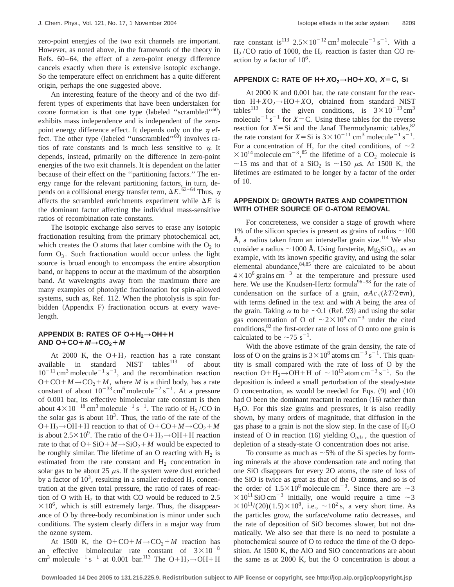zero-point energies of the two exit channels are important. However, as noted above, in the framework of the theory in Refs. 60–64, the effect of a zero-point energy difference cancels exactly when there is extensive isotopic exchange. So the temperature effect on enrichment has a quite different origin, perhaps the one suggested above.

An interesting feature of the theory and of the two different types of experiments that have been understaken for ozone formation is that one type (labeled "scrambled"<sup>60</sup>) exhibits mass independence and is independent of the zeropoint energy difference effect. It depends only on the  $\eta$  effect. The other type (labeled "unscrambled"<sup>60</sup>) involves ratios of rate constants and is much less sensitive to  $n$ . It depends, instead, primarily on the difference in zero-point energies of the two exit channels. It is dependent on the latter because of their effect on the ''partitioning factors.'' The energy range for the relevant partitioning factors, in turn, depends on a collisional energy transfer term,  $\Delta E$ .<sup>62–64</sup> Thus,  $\eta$ affects the scrambled enrichments experiment while  $\Delta E$  is the dominant factor affecting the individual mass-sensitive ratios of recombination rate constants.

The isotopic exchange also serves to erase any isotopic fractionation resulting from the primary photochemical act, which creates the O atoms that later combine with the  $O<sub>2</sub>$  to form  $O_3$ . Such fractionation would occur unless the light source is broad enough to encompass the entire absorption band, or happens to occur at the maximum of the absorption band. At wavelengths away from the maximum there are many examples of photolytic fractionation for spin-allowed systems, such as, Ref. 112. When the photolysis is spin forbidden (Appendix F) fractionation occurs at every wavelength.

# **APPENDIX B: RATES OF O+H<sub>2</sub>→OH+H**  $AND O+CO+M \rightarrow CO_2+M$

At 2000 K, the  $O+H_2$  reaction has a rate constant available in standard  $NIST$  tables<sup>113</sup> of about  $10^{-11}$  cm<sup>3</sup> molecule<sup>-1</sup> s<sup>-1</sup>, and the recombination reaction  $O+CO+M \rightarrow CO_2+M$ , where *M* is a third body, has a rate constant of about  $10^{-33}$  cm<sup>6</sup> molecule<sup>-2</sup> s<sup>-1</sup>. At a pressure of 0.001 bar, its effective bimolecular rate constant is then about  $4 \times 10^{-18}$  cm<sup>3</sup> molecule<sup>-1</sup> s<sup>-1</sup>. The ratio of H<sub>2</sub>/CO in the solar gas is about  $10<sup>3</sup>$ . Thus, the ratio of the rate of the  $O+H_2 \rightarrow OH+H$  reaction to that of  $O+CO+M \rightarrow CO_2+M$ is about 2.5 $\times$ 10<sup>9</sup>. The ratio of the O+H<sub>2</sub>→OH+H reaction rate to that of  $O + SiO + M \rightarrow SiO_2 + M$  would be expected to be roughly similar. The lifetime of an O reacting with  $H_2$  is estimated from the rate constant and  $H<sub>2</sub>$  concentration in solar gas to be about 25  $\mu$ s. If the system were dust enriched by a factor of  $10<sup>3</sup>$ , resulting in a smaller reduced  $H_2$  concentration at the given total pressure, the ratio of rates of reaction of O with  $H_2$  to that with CO would be reduced to 2.5  $\times 10^6$ , which is still extremely large. Thus, the disappearance of O by three-body recombination is minor under such conditions. The system clearly differs in a major way from the ozone system.

At 1500 K, the  $O+CO+M \rightarrow CO_2+M$  reaction has an effective bimolecular rate constant of  $3 \times 10^{-8}$ cm<sup>3</sup> molecule<sup>-1</sup> s<sup>-1</sup> at 0.001 bar.<sup>113</sup> The O+H<sub>2</sub>→OH+H

rate constant is <sup>113</sup>  $2.5 \times 10^{-12}$  cm<sup>3</sup> molecule<sup>-1</sup> s<sup>-1</sup>. With a  $H_2$ /CO ratio of 1000, the  $H_2$  reaction is faster than CO reaction by a factor of  $10^6$ .

## **APPENDIX C: RATE OF H¿XO2\HO¿XO, <sup>X</sup>ÄC, Si**

At 2000 K and 0.001 bar, the rate constant for the reaction  $H+XO_2 \rightarrow HO+XO$ , obtained from standard NIST tables<sup>113</sup> for the given conditions, is  $3 \times 10^{-13}$  cm<sup>3</sup> molecule<sup> $-1$ </sup> s<sup> $-1$ </sup> for *X* = C. Using these tables for the reverse reaction for  $X = Si$  and the Janaf Thermodynamic tables,<sup>82</sup> the rate constant for  $X = Si$  is  $3 \times 10^{-11}$  cm<sup>3</sup> molecule<sup>-1</sup> s<sup>-1</sup>. For a concentration of H, for the cited conditions, of  $\sim$  2  $\times 10^{14}$  molecule cm<sup>-3</sup>,<sup>85</sup> the lifetime of a CO<sub>2</sub> molecule is ~15 ms and that of a SiO<sub>2</sub> is ~150  $\mu$ s. At 1500 K, the lifetimes are estimated to be longer by a factor of the order of 10.

## **APPENDIX D: GROWTH RATES AND COMPETITION WITH OTHER SOURCE OF O-ATOM REMOVAL**

For concreteness, we consider a stage of growth where 1% of the silicon species is present as grains of radius  $\sim$ 100 Å, a radius taken from an interstellar grain size.<sup>114</sup> We also consider a radius  $\sim$ 1000 Å. Using forsterite, Mg<sub>2</sub>SiO<sub>4</sub>, as an example, with its known specific gravity, and using the solar elemental abundance,84,85 there are calculated to be about  $4\times10^6$  grains cm<sup>-3</sup> at the temperature and pressure used here. We use the Knudsen-Hertz formula<sup>96-98</sup> for the rate of condensation on the surface of a grain,  $\alpha A c \sqrt{(kT/2\pi m)}$ , with terms defined in the text and with *A* being the area of the grain. Taking  $\alpha$  to be  $\sim$  0.1 (Ref. 93) and using the solar gas concentration of O of  $\sim 2 \times 10^8 \text{ cm}^{-3}$  under the cited conditions, <sup>82</sup> the first-order rate of loss of O onto one grain is calculated to be  $\sim$ 75 s<sup>-1</sup>.

With the above estimate of the grain density, the rate of loss of O on the grains is  $3 \times 10^8$  atoms cm<sup>-3</sup> s<sup>-1</sup>. This quantity is small compared with the rate of loss of O by the reaction O+H<sub>2</sub>→OH+H of ~10<sup>13</sup> atom cm<sup>-3</sup> s<sup>-1</sup>. So the deposition is indeed a small perturbation of the steady-state O concentration, as would be needed for Eqs.  $(9)$  and  $(10)$ had O been the dominant reactant in reaction  $(16)$  rather than  $H<sub>2</sub>O$ . For this size grains and pressures, it is also readily shown, by many orders of magnitude, that diffusion in the gas phase to a grain is not the slow step. In the case of  $H_2O$ instead of O in reaction  $(16)$  yielding  $O_{ads}$ , the question of depletion of a steady-state O concentration does not arise.

To consume as much as  $\sim$  5% of the Si species by forming minerals at the above condensation rate and noting that one SiO disappears for every 2O atoms, the rate of loss of the SiO is twice as great as that of the O atoms, and so is of the order of  $1.5 \times 10^8$  molecule cm<sup>-3</sup>. Since there are  $\sim$ 3  $\times$ 10<sup>11</sup> SiO cm<sup>-3</sup> initially, one would require a time  $\sim$ 3  $\times 10^{11}/(20)(1.5)\times 10^8$ , i.e.,  $\sim 10^2$  s, a very short time. As the particles grow, the surface/volume ratio decreases, and the rate of deposition of SiO becomes slower, but not dramatically. We also see that there is no need to postulate a photochemical source of O to reduce the time of the O deposition. At 1500 K, the AlO and SiO concentrations are about the same as at 2000 K, but the O concentration is about a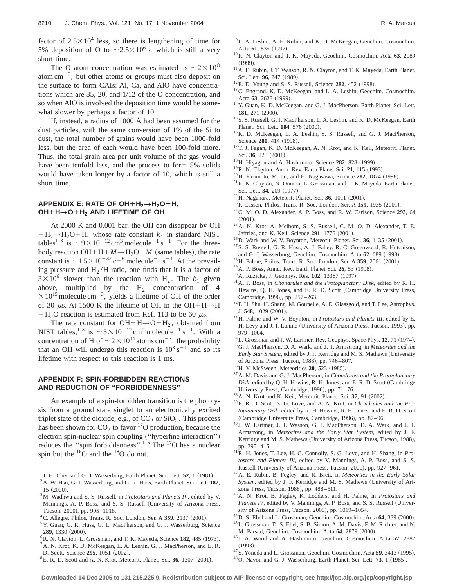factor of  $2.5 \times 10^4$  less, so there is lengthening of time for 5% deposition of O to  $\sim$  2.5 $\times$ 10<sup>6</sup> s, which is still a very short time.

The O atom concentration was estimated as  $\sim 2 \times 10^8$ atom cm<sup> $-3$ </sup>, but other atoms or groups must also deposit on the surface to form CAIs: Al, Ca, and AlO have concentrations which are 35, 20, and 1/12 of the O concentration, and so when AlO is involved the deposition time would be somewhat slower by perhaps a factor of 10.

If, instead, a radius of 1000 Å had been assumed for the dust particles, with the same conversion of 1% of the Si to dust, the total number of grains would have been 1000-fold less, but the area of each would have been 100-fold more. Thus, the total grain area per unit volume of the gas would have been tenfold less, and the process to form 5% solids would have taken longer by a factor of 10, which is still a short time.

# **APPENDIX E: RATE OF OH¿H2\H2O¿H, OH¿H\O¿H2 AND LIFETIME OF OH**

At 2000 K and 0.001 bar, the OH can disappear by OH  $+H_2 \rightarrow H_2O+H$ , whose rate constant  $k_1$  in standard NIST tables<sup>113</sup> is  $\sim$ 9×10<sup>-12</sup> cm<sup>3</sup> molecule<sup>-1</sup> s<sup>-1</sup>. For the threebody reaction OH+H+ $M \rightarrow H_2O+M$  (same tables), the rate constant is  $\sim$  1.5 $\times$ 10<sup>-32</sup> cm<sup>6</sup> molecule<sup>-2</sup> s<sup>-1</sup>. At the prevailing pressure and  $H<sub>2</sub>/H$  ratio, one finds that it is a factor of  $3 \times 10^6$  slower than the reaction with H<sub>2</sub>. The  $k_1$  given above, multiplied by the  $H_2$  concentration of 4  $\times 10^{15}$  molecule cm<sup>-3</sup>, yields a lifetime of OH of the order of 30  $\mu$ s. At 1500 K the lifetime of OH in the OH+H→H  $+H<sub>2</sub>O$  reaction is estimated from Ref. 113 to be 60  $\mu$ s.

The rate constant for  $OH + H \rightarrow O + H_2$ , obtained from NIST tables, <sup>113</sup> is  $\sim 5 \times 10^{-12}$  cm<sup>3</sup> molecule<sup>-1</sup> s<sup>-1</sup>. With a concentration of H of  $\sim 2 \times 10^{14}$  atoms cm<sup>-3</sup>, the probability that an OH will undergo this reaction is  $10^3$  s<sup>-1</sup> and so its lifetime with respect to this reaction is 1 ms.

## **APPENDIX F: SPIN-FORBIDDEN REACTIONS AND REDUCTION OF ''FORBIDDENNESS''**

An example of a spin-forbidden transition is the photolysis from a ground state singlet to an electronically excited triplet state of the dioxide, e.g., of  $CO<sub>2</sub>$  or  $SiO<sub>2</sub>$ . This process has been shown for  $CO_2$  to favor <sup>17</sup>O production, because the electron spin-nuclear spin coupling ("hyperfine interaction") reduces the "spin forbiddenness".<sup>115</sup> The <sup>17</sup>O has a nuclear spin but the  $16\overline{O}$  and the  $18\overline{O}$  do not.

- $1$  J. H. Chen and G. J. Wasserburg, Earth Planet. Sci. Lett.  $52$ , 1 (1981).
- 2A. W. Hsu, G. J. Wasserburg, and G. R. Huss, Earth Planet. Sci. Lett. **182**,  $15$   $(2000)$ .
- 3M. Wadhwa and S. S. Russell, in *Protostars and Planets IV*, edited by V. Mannings, A. P. Boss, and S. S. Russell (University of Arizona Press, Tucson, 2000), pp. 995-1018.
- <sup>4</sup> C. Allegre, Philos. Trans. R. Soc. London, Ser. A 359, 2137 (2001).
- <sup>5</sup> Y. Guan, G. R. Huss, G. L. MacPherson, and G. J. Wasserburg, Science **289**, 1330 (2000).
- <sup>6</sup>R. N. Clayton, L. Grossman, and T. K. Mayeda, Science 182, 485 (1973). 7A. N. Krot, K. D. McKeegan, L. A. Leshin, G. J. MacPherson, and E. R.
- D. Scott, Science 295, 1051 (2002).
- ${}^{8}E$ . R. D. Scott and A. N. Krot, Meteorit. Planet. Sci. 36, 1307  $(2001)$ .
- 9L. A. Leshin, A. E. Rubin, and K. D. McKeegan, Geochim. Cosmochim. Acta 61, 835 (1997).
- 10R. N. Clayton and T. K. Mayeda, Geochim. Cosmochim. Acta **63**, 2089  $(1999)$ .
- <sup>11</sup> A. E. Rubin, J. T. Wasson, R. N. Clayton, and T. K. Mayeda, Earth Planet. Sci. Lett. 96, 247 (1989).
- <sup>12</sup>E. D. Young and S. S. Russell, Science 282, 452 (1998).
- <sup>13</sup>C. Engrand, K. D. McKeegan, and L. A. Leshin, Geochim. Cosmochim. Acta 63, 2623 (1999).
- 14Y. Guan, K. D. McKeegan, and G. J. MacPherson, Earth Planet. Sci. Lett. 181, 271 (2000).
- <sup>15</sup> S. S. Russell, G. J. MacPherson, L. A. Leshin, and K. D. McKeegan, Earth Planet. Sci. Lett. 184, 576 (2000).
- 16K. D. McKeegan, L. A. Leshin, S. S. Russell, and G. J. MacPherson, Science 280, 414 (1998).
- 17T. J. Fagan, K. D. McKeegan, A. N. Krot, and K. Keil, Meteorit. Planet. Sci. 36, 223 (2001).
- <sup>18</sup>H. Hiyagon and A. Hashimoto, Science **282**, 828 (1999).
- <sup>19</sup> R. N. Clayton, Annu. Rev. Earth Planet Sci. **21**, 115 (1993).
- <sup>20</sup> H. Yurimoto, M. Ito, and H. Nagasawa, Science **282**, 1874 (1998).
- 21R. N. Clayton, N. Onuma, L. Grossman, and T. K. Mayeda, Earth Planet. Sci. Lett. 34, 209 (1977).
- <sup>22</sup>H. Nagahara, Meteorit. Planet. Sci. **36**, 1011 (2001).
- <sup>23</sup> P. Cassen, Philos. Trans. R. Soc. London, Ser. A 359, 1935 (2001).
- 24C. M. O. D. Alexander, A. P. Boss, and R. W. Carlson, Science **293**, 64  $(2001).$
- 25A. N. Krot, A. Meibom, S. S. Russell, C. M. O. D. Alexander, T. E. Jeffries, and K. Keil, Science 291, 1776 (2001).
- <sup>26</sup>D. Wark and W. V. Boynton, Meteorit. Planet. Sci. 36, 1135 (2001).
- 27S. S. Russell, G. R. Huss, A. J. Fahey, R. C. Greenwood, R. Hutchison, and G. J. Wasserburg, Geochim. Cosmochim. Acta 62, 689 (1998).
- <sup>28</sup> H. Palme, Philos. Trans. R. Soc. London, Ser. A **359**, 2061 (2001).
- <sup>29</sup> A. P. Boss, Annu. Rev. Earth Planet Sci. **26**, 53 (1998).
- <sup>30</sup> A. Ruzicka, J. Geophys. Res. **102**, 13387 (1997).
- 31A. P. Boss, in *Chondrules and the Protoplanetary Disk*, edited by R. H. Hewins, Q. H. Jones, and E. R. D. Scott (Cambridge University Press, Cambridge, 1996), pp. 257-263.
- 32F. H. Shu, H. Shang, M. Gounelle, A. E. Glassgold, and T. Lee, Astrophys.  $J. 548, 1029 (2001).$
- 33H. Palme and W. V. Boynton, in *Protostars and Planets III*, edited by E. H. Levy and J. I. Lunine (University of Arizona Press, Tucson, 1993), pp. 979–1004.
- <sup>34</sup>L. Grossman and J. W. Larimer, Rev. Geophys. Space Phys. **12**, 71 (1974).
- 35G. J. MacPherson, D. A. Wark, and J. T. Armstrong, in *Meteorites and the Early Star System*, edited by J. F. Kerridge and M. S. Mathews (University of Arizona Press, Tucson, 1988), pp. 746-807.
- <sup>36</sup>H. Y. McSween, Meteoritics **20**, 523 (1985).
- 37A. M. Davis and G. J. MacPherson, in *Chondrules and the Protoplanetary* Disk, edited by Q. H. Hewins, R. H. Jones, and E. R. D. Scott (Cambridge University Press, Cambridge, 1996), pp. 71-76.
- <sup>38</sup> A. N. Krot and K. Keil, Meteorit. Planet. Sci. 37, 91 (2002).
- 39E. R. D. Scott, S. G. Love, and A. N. Krot, in *Chondrules and the Protoplanetary Disk*, edited by R. H. Hewins, R. H. Jones, and E. R. D. Scott (Cambridge University Press, Cambridge, 1996), pp. 87–96.
- <sup>40</sup> J. W. Larimer, J. T. Wasson, G. J. MacPherson, D. A. Wark, and J. T. Armstrong, in *Meteorites and the Early Star System*, edited by J. F. Kerridge and M. S. Mathews (University of Arizona Press, Tucson, 1988), pp. 395–415.
- 41R. H. Jones, T. Lee, H. C. Connolly, S. G. Love, and H. Shang, in *Protostars and Planets IV*, edited by V. Mannings, A. P. Boss, and S. S. Russell (University of Arizona Press, Tucson, 2000), pp. 927–961.
- 42A. E. Rubin, B. Fegley, and R. Brett, in *Meteorites in the Early Solar* System, edited by J. F. Kerridge and M. S. Mathews (University of Arizona Press, Tucson, 1988), pp. 488-511.
- 43A. N. Krot, B. Fegley, K. Lodders, and H. Palme, in *Protostars and Planets IV*, edited by V. Mannings, A. P. Boss, and S. S. Russell (University of Arizona Press, Tucson, 2000), pp. 1019-1054.
- <sup>44</sup> D. S. Ebel and L. Grossman, Geochim. Cosmochim. Acta 64, 339 (2000).
- 45L. Grossman, D. S. Ebel, S. B. Simon, A. M. Davis, F. M. Richter, and N.
- M. Parsad, Geochim. Cosmochim. Acta 64, 2879 (2000).
- <sup>46</sup> J. A. Wood and A. Hashimoto, Geochim. Cosmochim. Acta **57**, 2887  $(1993)$ .
- <sup>47</sup>S. Yoneda and L. Grossman, Geochim. Cosmochim. Acta 59, 3413 (1995).
- $^{48}$ O. Navon and G. J. Wasserburg, Earth Planet. Sci. Lett. **73**, 1 (1985).